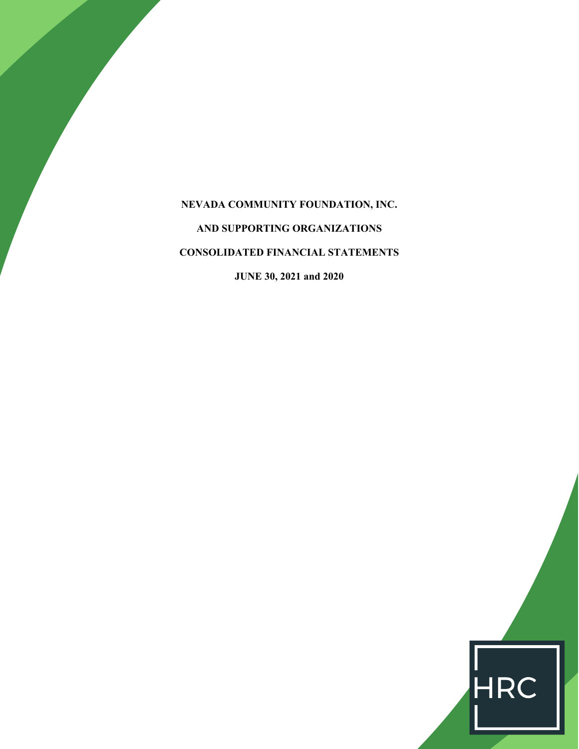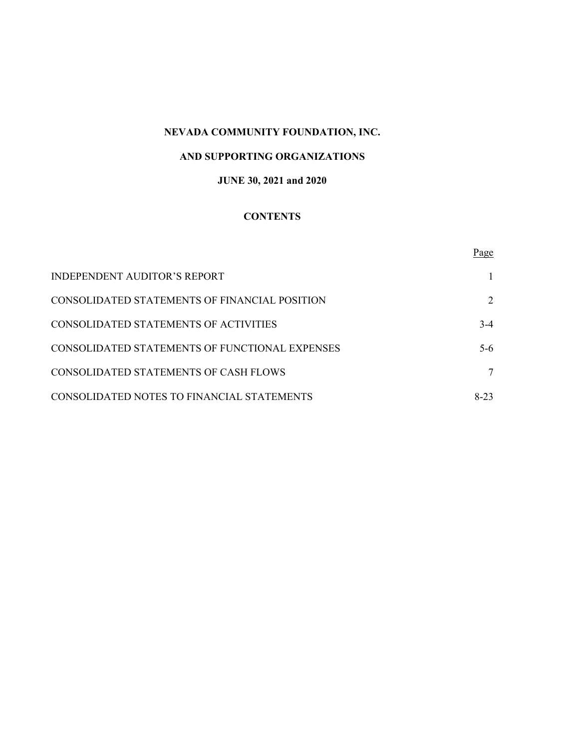## **NEVADA COMMUNITY FOUNDATION, INC.**

## **AND SUPPORTING ORGANIZATIONS**

## **JUNE 30, 2021 and 2020**

## **CONTENTS**

Page

| <b>INDEPENDENT AUDITOR'S REPORT</b>            |       |
|------------------------------------------------|-------|
| CONSOLIDATED STATEMENTS OF FINANCIAL POSITION  | 2     |
| CONSOLIDATED STATEMENTS OF ACTIVITIES          | $3-4$ |
| CONSOLIDATED STATEMENTS OF FUNCTIONAL EXPENSES | 5-6   |
| CONSOLIDATED STATEMENTS OF CASH FLOWS          |       |
| CONSOLIDATED NOTES TO FINANCIAL STATEMENTS     | 8-23  |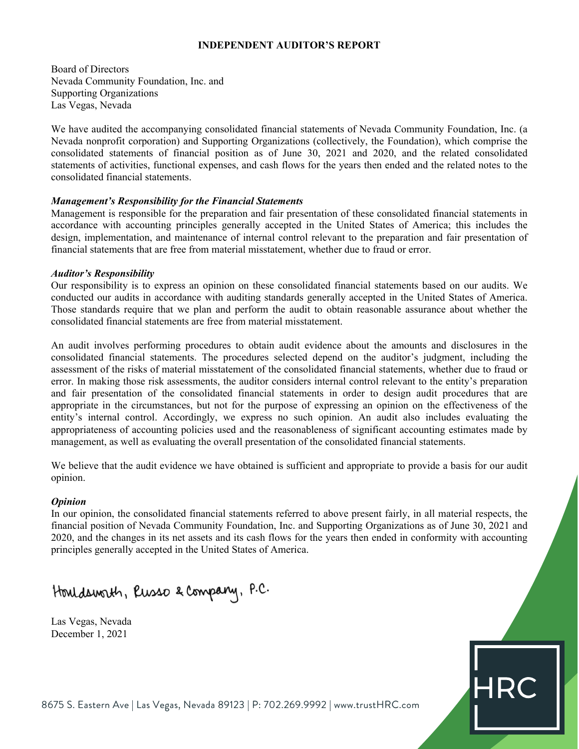#### **INDEPENDENT AUDITOR'S REPORT**

Board of Directors Nevada Community Foundation, Inc. and Supporting Organizations Las Vegas, Nevada

We have audited the accompanying consolidated financial statements of Nevada Community Foundation, Inc. (a Nevada nonprofit corporation) and Supporting Organizations (collectively, the Foundation), which comprise the consolidated statements of financial position as of June 30, 2021 and 2020, and the related consolidated statements of activities, functional expenses, and cash flows for the years then ended and the related notes to the consolidated financial statements.

#### *Management's Responsibility for the Financial Statements*

Management is responsible for the preparation and fair presentation of these consolidated financial statements in accordance with accounting principles generally accepted in the United States of America; this includes the design, implementation, and maintenance of internal control relevant to the preparation and fair presentation of financial statements that are free from material misstatement, whether due to fraud or error.

#### *Auditor's Responsibility*

Our responsibility is to express an opinion on these consolidated financial statements based on our audits. We conducted our audits in accordance with auditing standards generally accepted in the United States of America. Those standards require that we plan and perform the audit to obtain reasonable assurance about whether the consolidated financial statements are free from material misstatement.

An audit involves performing procedures to obtain audit evidence about the amounts and disclosures in the consolidated financial statements. The procedures selected depend on the auditor's judgment, including the assessment of the risks of material misstatement of the consolidated financial statements, whether due to fraud or error. In making those risk assessments, the auditor considers internal control relevant to the entity's preparation and fair presentation of the consolidated financial statements in order to design audit procedures that are appropriate in the circumstances, but not for the purpose of expressing an opinion on the effectiveness of the entity's internal control. Accordingly, we express no such opinion. An audit also includes evaluating the appropriateness of accounting policies used and the reasonableness of significant accounting estimates made by management, as well as evaluating the overall presentation of the consolidated financial statements.

We believe that the audit evidence we have obtained is sufficient and appropriate to provide a basis for our audit opinion.

#### *Opinion*

In our opinion, the consolidated financial statements referred to above present fairly, in all material respects, the financial position of Nevada Community Foundation, Inc. and Supporting Organizations as of June 30, 2021 and 2020, and the changes in its net assets and its cash flows for the years then ended in conformity with accounting principles generally accepted in the United States of America.

**HR** 

Houldsworth, Russo & Company, P.C.

Las Vegas, Nevada December 1, 2021

8675 S. Eastern Ave | Las Vegas, Nevada 89123 | P: 702.269.9992 | www.trustHRC.com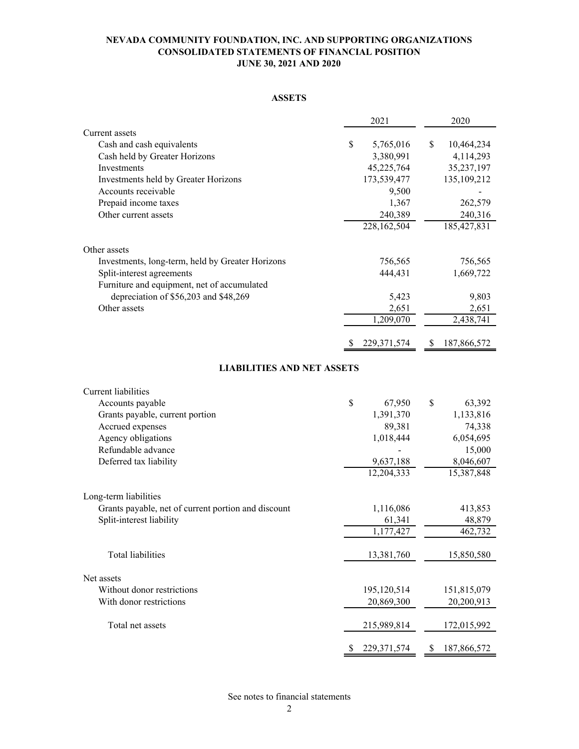## **NEVADA COMMUNITY FOUNDATION, INC. AND SUPPORTING ORGANIZATIONS CONSOLIDATED STATEMENTS OF FINANCIAL POSITION JUNE 30, 2021 AND 2020**

#### **ASSETS**

|                                                  | 2021            |    | 2020          |  |  |
|--------------------------------------------------|-----------------|----|---------------|--|--|
| Current assets                                   |                 |    |               |  |  |
| Cash and cash equivalents                        | \$<br>5,765,016 | \$ | 10,464,234    |  |  |
| Cash held by Greater Horizons                    | 3,380,991       |    | 4,114,293     |  |  |
| <b>Investments</b>                               | 45,225,764      |    | 35,237,197    |  |  |
| Investments held by Greater Horizons             | 173,539,477     |    | 135, 109, 212 |  |  |
| Accounts receivable                              | 9,500           |    |               |  |  |
| Prepaid income taxes                             | 1,367           |    | 262,579       |  |  |
| Other current assets                             | 240,389         |    | 240,316       |  |  |
|                                                  | 228,162,504     |    | 185,427,831   |  |  |
| Other assets                                     |                 |    |               |  |  |
| Investments, long-term, held by Greater Horizons | 756,565         |    | 756,565       |  |  |
| Split-interest agreements                        | 444,431         |    | 1,669,722     |  |  |
| Furniture and equipment, net of accumulated      |                 |    |               |  |  |
| depreciation of \$56,203 and \$48,269            | 5,423           |    | 9,803         |  |  |
| Other assets                                     | 2,651           |    | 2,651         |  |  |
|                                                  | 1,209,070       |    | 2,438,741     |  |  |
|                                                  | 229, 371, 574   | S  | 187,866,572   |  |  |
| <b>LIABILITIES AND NET ASSETS</b>                |                 |    |               |  |  |
| Current liabilities                              |                 |    |               |  |  |
| Accounts payable                                 | \$<br>67,950    | \$ | 63,392        |  |  |
| Grants payable, current portion                  | 1,391,370       |    | 1,133,816     |  |  |
| Accrued expenses                                 | 89,381          |    | 74,338        |  |  |
| Agency obligations                               | 1,018,444       |    | 6,054,695     |  |  |
| Refundable advance                               |                 |    | 15.000        |  |  |

| Accounts payable                                    | \$ | 67,950      | S  | 63,392      |
|-----------------------------------------------------|----|-------------|----|-------------|
| Grants payable, current portion                     |    | 1,391,370   |    | 1,133,816   |
| Accrued expenses                                    |    | 89,381      |    | 74,338      |
| Agency obligations                                  |    | 1,018,444   |    | 6,054,695   |
| Refundable advance                                  |    |             |    | 15,000      |
| Deferred tax liability                              |    | 9,637,188   |    | 8,046,607   |
|                                                     |    | 12,204,333  |    | 15,387,848  |
| Long-term liabilities                               |    |             |    |             |
| Grants payable, net of current portion and discount |    | 1,116,086   |    | 413,853     |
| Split-interest liability                            |    | 61,341      |    | 48,879      |
|                                                     |    | 1,177,427   |    | 462,732     |
| Total liabilities                                   |    | 13,381,760  |    | 15,850,580  |
| Net assets                                          |    |             |    |             |
| Without donor restrictions                          |    | 195,120,514 |    | 151,815,079 |
| With donor restrictions                             |    | 20,869,300  |    | 20,200,913  |
| Total net assets                                    |    | 215,989,814 |    | 172,015,992 |
|                                                     | S  | 229,371,574 | æ. | 187,866,572 |

See notes to financial statements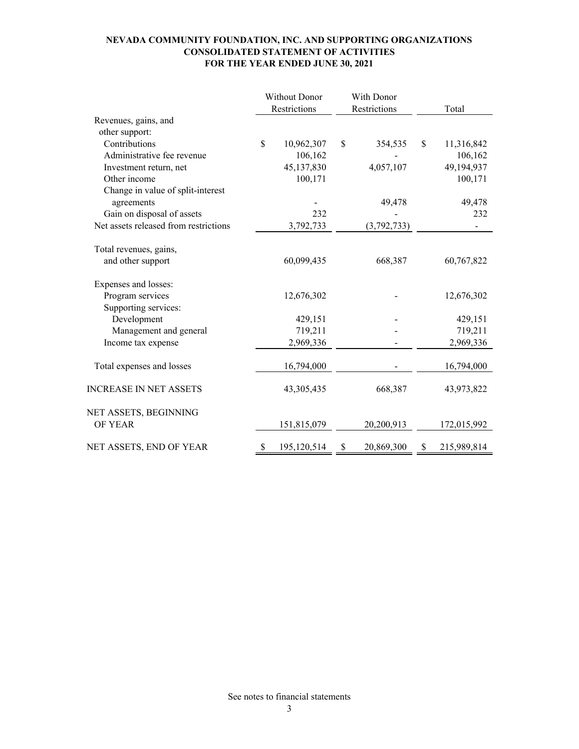## **NEVADA COMMUNITY FOUNDATION, INC. AND SUPPORTING ORGANIZATIONS CONSOLIDATED STATEMENT OF ACTIVITIES FOR THE YEAR ENDED JUNE 30, 2021**

|                                                 | Without Donor<br>Restrictions | With Donor<br>Restrictions | Total             |
|-------------------------------------------------|-------------------------------|----------------------------|-------------------|
|                                                 |                               |                            |                   |
| Revenues, gains, and                            |                               |                            |                   |
| other support:                                  |                               |                            |                   |
| Contributions                                   | \$<br>10,962,307              | \$<br>354,535              | \$<br>11,316,842  |
| Administrative fee revenue                      | 106,162                       |                            | 106,162           |
| Investment return, net                          | 45,137,830                    | 4,057,107                  | 49,194,937        |
| Other income                                    | 100,171                       |                            | 100,171           |
| Change in value of split-interest<br>agreements |                               | 49,478                     | 49,478            |
| Gain on disposal of assets                      | 232                           |                            | 232               |
| Net assets released from restrictions           | 3,792,733                     | (3,792,733)                |                   |
|                                                 |                               |                            |                   |
| Total revenues, gains,                          |                               |                            |                   |
| and other support                               | 60,099,435                    | 668,387                    | 60,767,822        |
|                                                 |                               |                            |                   |
| Expenses and losses:                            |                               |                            |                   |
| Program services                                | 12,676,302                    |                            | 12,676,302        |
| Supporting services:                            |                               |                            |                   |
| Development                                     | 429,151                       |                            | 429,151           |
| Management and general                          | 719,211                       |                            | 719,211           |
| Income tax expense                              | 2,969,336                     |                            | 2,969,336         |
|                                                 |                               |                            |                   |
| Total expenses and losses                       | 16,794,000                    |                            | 16,794,000        |
|                                                 |                               |                            |                   |
| <b>INCREASE IN NET ASSETS</b>                   | 43,305,435                    | 668,387                    | 43,973,822        |
|                                                 |                               |                            |                   |
| NET ASSETS, BEGINNING                           |                               |                            |                   |
| OF YEAR                                         | 151,815,079                   | 20,200,913                 | 172,015,992       |
|                                                 |                               |                            |                   |
| NET ASSETS, END OF YEAR                         | \$<br>195,120,514             | \$<br>20,869,300           | \$<br>215,989,814 |
|                                                 |                               |                            |                   |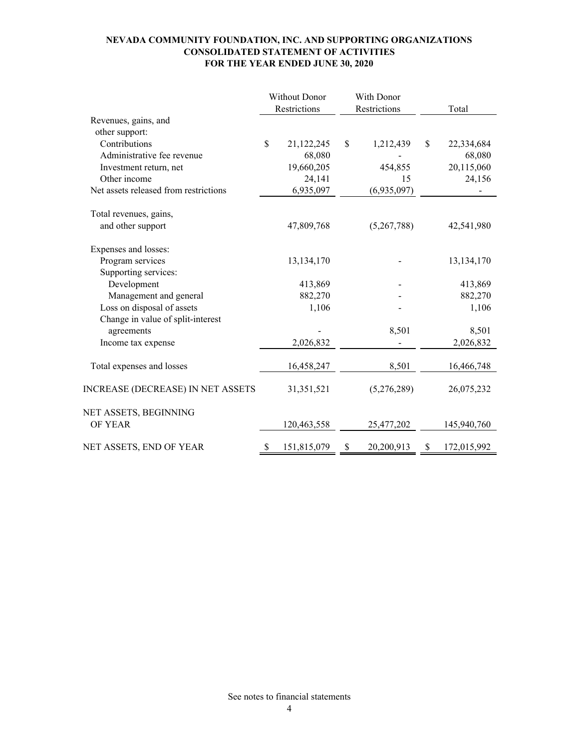## **NEVADA COMMUNITY FOUNDATION, INC. AND SUPPORTING ORGANIZATIONS CONSOLIDATED STATEMENT OF ACTIVITIES FOR THE YEAR ENDED JUNE 30, 2020**

|                                          | <b>Without Donor</b><br>Restrictions | With Donor<br>Restrictions | Total             |
|------------------------------------------|--------------------------------------|----------------------------|-------------------|
| Revenues, gains, and                     |                                      |                            |                   |
| other support:                           |                                      |                            |                   |
| Contributions                            | \$<br>21,122,245                     | \$<br>1,212,439            | \$<br>22,334,684  |
| Administrative fee revenue               | 68,080                               |                            | 68,080            |
| Investment return, net                   | 19,660,205                           | 454,855                    | 20,115,060        |
| Other income                             | 24,141                               | 15                         | 24,156            |
| Net assets released from restrictions    | 6,935,097                            | (6,935,097)                |                   |
| Total revenues, gains,                   |                                      |                            |                   |
| and other support                        | 47,809,768                           | (5,267,788)                | 42,541,980        |
| Expenses and losses:                     |                                      |                            |                   |
| Program services                         | 13,134,170                           |                            | 13,134,170        |
| Supporting services:                     |                                      |                            |                   |
| Development                              | 413,869                              |                            | 413,869           |
| Management and general                   | 882,270                              |                            | 882,270           |
| Loss on disposal of assets               | 1,106                                |                            | 1,106             |
| Change in value of split-interest        |                                      |                            |                   |
| agreements                               |                                      | 8,501                      | 8,501             |
| Income tax expense                       | 2,026,832                            |                            | 2,026,832         |
| Total expenses and losses                | 16,458,247                           | 8,501                      | 16,466,748        |
| <b>INCREASE (DECREASE) IN NET ASSETS</b> | 31,351,521                           | (5,276,289)                | 26,075,232        |
| NET ASSETS, BEGINNING                    |                                      |                            |                   |
| OF YEAR                                  | 120,463,558                          | 25,477,202                 | 145,940,760       |
| NET ASSETS, END OF YEAR                  | \$<br>151,815,079                    | \$<br>20,200,913           | \$<br>172,015,992 |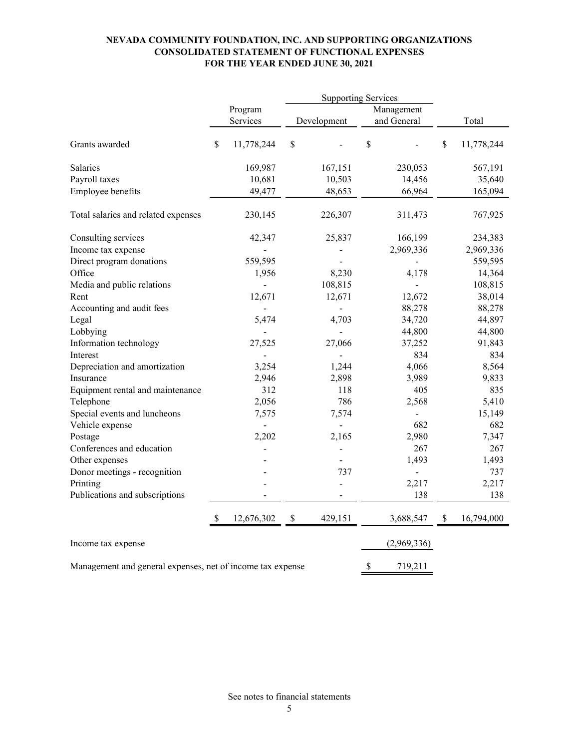## **NEVADA COMMUNITY FOUNDATION, INC. AND SUPPORTING ORGANIZATIONS CONSOLIDATED STATEMENT OF FUNCTIONAL EXPENSES FOR THE YEAR ENDED JUNE 30, 2021**

|                                                            |               |                          | <b>Supporting Services</b> |                |    |                |     |            |
|------------------------------------------------------------|---------------|--------------------------|----------------------------|----------------|----|----------------|-----|------------|
|                                                            |               | Program                  |                            |                |    | Management     |     |            |
|                                                            |               | Services                 |                            | Development    |    | and General    |     | Total      |
| Grants awarded                                             | \$            | 11,778,244               | $\mathbb{S}$               |                | \$ |                | \$  | 11,778,244 |
| Salaries                                                   |               | 169,987                  |                            | 167,151        |    | 230,053        |     | 567,191    |
| Payroll taxes                                              |               | 10,681                   |                            | 10,503         |    | 14,456         |     | 35,640     |
| Employee benefits                                          |               | 49,477                   |                            | 48,653         |    | 66,964         |     | 165,094    |
| Total salaries and related expenses                        |               | 230,145                  |                            | 226,307        |    | 311,473        |     | 767,925    |
| Consulting services                                        |               | 42,347                   |                            | 25,837         |    | 166,199        |     | 234,383    |
| Income tax expense                                         |               |                          |                            |                |    | 2,969,336      |     | 2,969,336  |
| Direct program donations                                   |               | 559,595                  |                            |                |    | $\blacksquare$ |     | 559,595    |
| Office                                                     |               | 1,956                    |                            | 8,230          |    | 4,178          |     | 14,364     |
| Media and public relations                                 |               | $\overline{\phantom{a}}$ |                            | 108,815        |    | $\blacksquare$ |     | 108,815    |
| Rent                                                       |               | 12,671                   |                            | 12,671         |    | 12,672         |     | 38,014     |
| Accounting and audit fees                                  |               |                          |                            | $\frac{1}{2}$  |    | 88,278         |     | 88,278     |
| Legal                                                      |               | 5,474                    |                            | 4,703          |    | 34,720         |     | 44,897     |
| Lobbying                                                   |               |                          |                            |                |    | 44,800         |     | 44,800     |
| Information technology                                     |               | 27,525                   |                            | 27,066         |    | 37,252         |     | 91,843     |
| Interest                                                   |               |                          |                            |                |    | 834            |     | 834        |
| Depreciation and amortization                              |               | 3,254                    |                            | 1,244          |    | 4,066          |     | 8,564      |
| Insurance                                                  |               | 2,946                    |                            | 2,898          |    | 3,989          |     | 9,833      |
| Equipment rental and maintenance                           |               | 312                      |                            | 118            |    | 405            |     | 835        |
| Telephone                                                  |               | 2,056                    |                            | 786            |    | 2,568          |     | 5,410      |
| Special events and luncheons                               |               | 7,575                    |                            | 7,574          |    | $\blacksquare$ |     | 15,149     |
| Vehicle expense                                            |               |                          |                            | $\overline{a}$ |    | 682            |     | 682        |
| Postage                                                    |               | 2,202                    |                            | 2,165          |    | 2,980          |     | 7,347      |
| Conferences and education                                  |               | $\overline{a}$           |                            |                |    | 267            |     | 267        |
| Other expenses                                             |               |                          |                            |                |    | 1,493          |     | 1,493      |
| Donor meetings - recognition                               |               |                          |                            | 737            |    | $\blacksquare$ |     | 737        |
| Printing                                                   |               |                          |                            |                |    | 2,217          |     | 2,217      |
| Publications and subscriptions                             |               |                          |                            |                |    | 138            |     | 138        |
|                                                            | <sup>\$</sup> | 12,676,302               | S.                         | 429,151        |    | 3,688,547      | \$. | 16,794,000 |
| Income tax expense                                         |               |                          |                            |                |    | (2,969,336)    |     |            |
| Management and general expenses, net of income tax expense |               |                          |                            |                | \$ | 719,211        |     |            |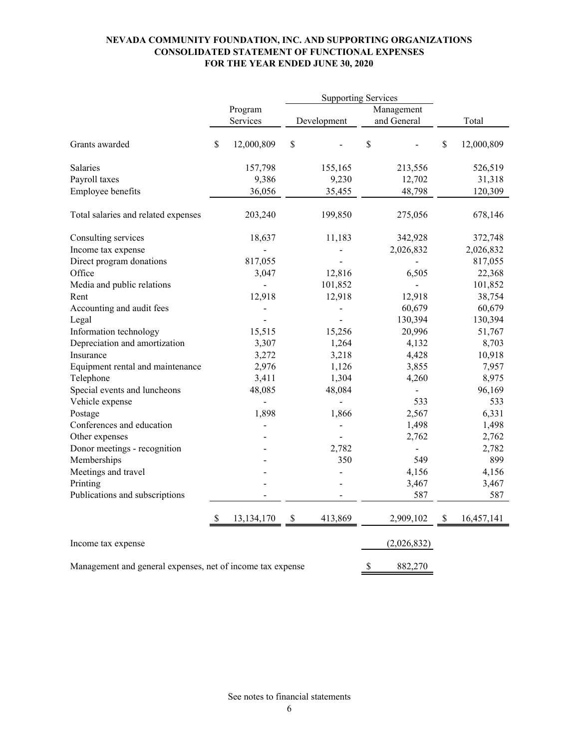## **NEVADA COMMUNITY FOUNDATION, INC. AND SUPPORTING ORGANIZATIONS CONSOLIDATED STATEMENT OF FUNCTIONAL EXPENSES FOR THE YEAR ENDED JUNE 30, 2020**

|                                                            |                  | <b>Supporting Services</b> |               |                |                  |
|------------------------------------------------------------|------------------|----------------------------|---------------|----------------|------------------|
|                                                            | Program          |                            |               | Management     |                  |
|                                                            | Services         | Development                |               | and General    | Total            |
| Grants awarded                                             | \$<br>12,000,809 | \$                         | $\mathcal{S}$ |                | \$<br>12,000,809 |
| Salaries                                                   | 157,798          | 155,165                    |               | 213,556        | 526,519          |
| Payroll taxes                                              | 9,386            | 9,230                      |               | 12,702         | 31,318           |
| Employee benefits                                          | 36,056           | 35,455                     |               | 48,798         | 120,309          |
| Total salaries and related expenses                        | 203,240          | 199,850                    |               | 275,056        | 678,146          |
| Consulting services                                        | 18,637           | 11,183                     |               | 342,928        | 372,748          |
| Income tax expense                                         |                  |                            |               | 2,026,832      | 2,026,832        |
| Direct program donations                                   | 817,055          |                            |               |                | 817,055          |
| Office                                                     | 3,047            | 12,816                     |               | 6,505          | 22,368           |
| Media and public relations                                 | $\overline{a}$   | 101,852                    |               | $\overline{a}$ | 101,852          |
| Rent                                                       | 12,918           | 12,918                     |               | 12,918         | 38,754           |
| Accounting and audit fees                                  | $\overline{a}$   |                            |               | 60,679         | 60,679           |
| Legal                                                      | $\frac{1}{2}$    |                            |               | 130,394        | 130,394          |
| Information technology                                     | 15,515           | 15,256                     |               | 20,996         | 51,767           |
| Depreciation and amortization                              | 3,307            | 1,264                      |               | 4,132          | 8,703            |
| Insurance                                                  | 3,272            | 3,218                      |               | 4,428          | 10,918           |
| Equipment rental and maintenance                           | 2,976            | 1,126                      |               | 3,855          | 7,957            |
| Telephone                                                  | 3,411            | 1,304                      |               | 4,260          | 8,975            |
| Special events and luncheons                               | 48,085           | 48,084                     |               | $\blacksquare$ | 96,169           |
| Vehicle expense                                            |                  | $\overline{a}$             |               | 533            | 533              |
| Postage                                                    | 1,898            | 1,866                      |               | 2,567          | 6,331            |
| Conferences and education                                  |                  |                            |               | 1,498          | 1,498            |
| Other expenses                                             |                  |                            |               | 2,762          | 2,762            |
| Donor meetings - recognition                               |                  | 2,782                      |               |                | 2,782            |
| Memberships                                                |                  | 350                        |               | 549            | 899              |
| Meetings and travel                                        |                  |                            |               | 4,156          | 4,156            |
| Printing                                                   |                  |                            |               | 3,467          | 3,467            |
| Publications and subscriptions                             |                  |                            |               | 587            | 587              |
|                                                            | \$<br>13,134,170 | \$<br>413,869              |               | 2,909,102      | \$<br>16,457,141 |
| Income tax expense                                         |                  |                            |               | (2,026,832)    |                  |
| Management and general expenses, net of income tax expense |                  |                            | \$            | 882,270        |                  |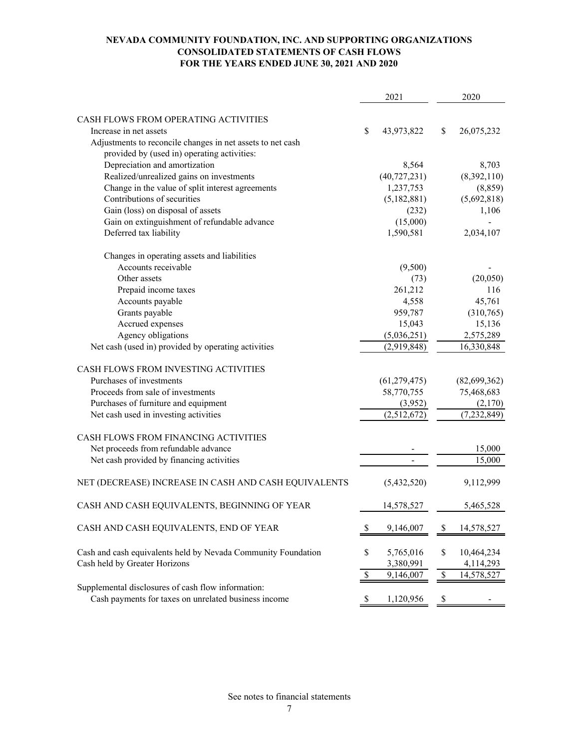## **NEVADA COMMUNITY FOUNDATION, INC. AND SUPPORTING ORGANIZATIONS CONSOLIDATED STATEMENTS OF CASH FLOWS FOR THE YEARS ENDED JUNE 30, 2021 AND 2020**

|                                                               | 2021             |      | 2020           |
|---------------------------------------------------------------|------------------|------|----------------|
| CASH FLOWS FROM OPERATING ACTIVITIES                          |                  |      |                |
| Increase in net assets                                        | \$<br>43,973,822 | \$   | 26,075,232     |
| Adjustments to reconcile changes in net assets to net cash    |                  |      |                |
| provided by (used in) operating activities:                   |                  |      |                |
| Depreciation and amortization                                 | 8,564            |      | 8,703          |
| Realized/unrealized gains on investments                      | (40, 727, 231)   |      | (8,392,110)    |
| Change in the value of split interest agreements              | 1,237,753        |      | (8, 859)       |
| Contributions of securities                                   | (5,182,881)      |      | (5,692,818)    |
| Gain (loss) on disposal of assets                             | (232)            |      | 1,106          |
| Gain on extinguishment of refundable advance                  | (15,000)         |      |                |
| Deferred tax liability                                        | 1,590,581        |      | 2,034,107      |
| Changes in operating assets and liabilities                   |                  |      |                |
| Accounts receivable                                           | (9,500)          |      |                |
| Other assets                                                  | (73)             |      | (20,050)       |
| Prepaid income taxes                                          | 261,212          |      | 116            |
| Accounts payable                                              | 4,558            |      | 45,761         |
| Grants payable                                                | 959,787          |      | (310, 765)     |
| Accrued expenses                                              | 15,043           |      | 15,136         |
| Agency obligations                                            | (5,036,251)      |      | 2,575,289      |
| Net cash (used in) provided by operating activities           | (2,919,848)      |      | 16,330,848     |
| CASH FLOWS FROM INVESTING ACTIVITIES                          |                  |      |                |
| Purchases of investments                                      | (61, 279, 475)   |      | (82, 699, 362) |
| Proceeds from sale of investments                             | 58,770,755       |      | 75,468,683     |
| Purchases of furniture and equipment                          | (3,952)          |      | (2,170)        |
| Net cash used in investing activities                         | (2,512,672)      |      | (7, 232, 849)  |
| <b>CASH FLOWS FROM FINANCING ACTIVITIES</b>                   |                  |      |                |
| Net proceeds from refundable advance                          |                  |      | 15,000         |
| Net cash provided by financing activities                     |                  |      | 15,000         |
| NET (DECREASE) INCREASE IN CASH AND CASH EQUIVALENTS          | (5,432,520)      |      | 9,112,999      |
| CASH AND CASH EQUIVALENTS, BEGINNING OF YEAR                  | 14,578,527       |      | 5,465,528      |
| CASH AND CASH EQUIVALENTS, END OF YEAR                        | \$<br>9,146,007  | \$   | 14,578,527     |
| Cash and cash equivalents held by Nevada Community Foundation | \$<br>5,765,016  | \$   | 10,464,234     |
| Cash held by Greater Horizons                                 | 3,380,991        |      | 4,114,293      |
|                                                               | \$<br>9,146,007  | $\$$ | 14,578,527     |
| Supplemental disclosures of cash flow information:            |                  |      |                |
| Cash payments for taxes on unrelated business income          | 1,120,956        | \$   |                |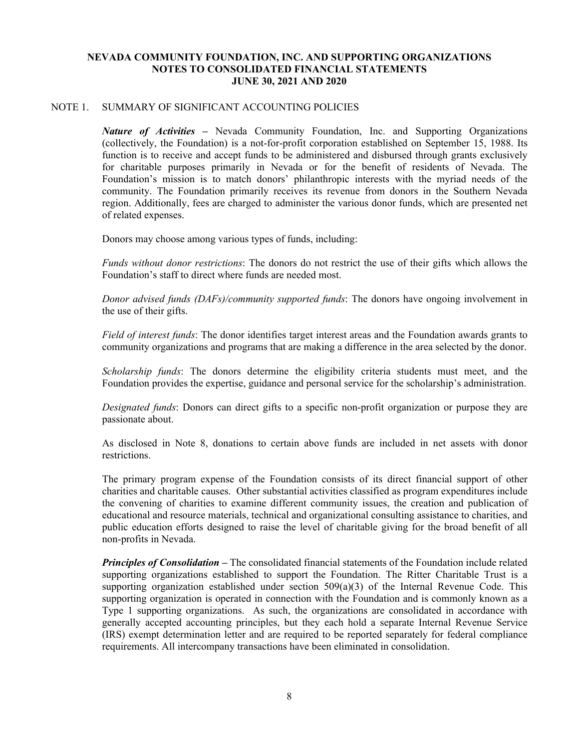#### NOTE 1. SUMMARY OF SIGNIFICANT ACCOUNTING POLICIES

*Nature of Activities –* Nevada Community Foundation, Inc. and Supporting Organizations (collectively, the Foundation) is a not-for-profit corporation established on September 15, 1988. Its function is to receive and accept funds to be administered and disbursed through grants exclusively for charitable purposes primarily in Nevada or for the benefit of residents of Nevada. The Foundation's mission is to match donors' philanthropic interests with the myriad needs of the community. The Foundation primarily receives its revenue from donors in the Southern Nevada region. Additionally, fees are charged to administer the various donor funds, which are presented net of related expenses.

Donors may choose among various types of funds, including:

*Funds without donor restrictions*: The donors do not restrict the use of their gifts which allows the Foundation's staff to direct where funds are needed most.

*Donor advised funds (DAFs)/community supported funds*: The donors have ongoing involvement in the use of their gifts.

*Field of interest funds*: The donor identifies target interest areas and the Foundation awards grants to community organizations and programs that are making a difference in the area selected by the donor.

*Scholarship funds*: The donors determine the eligibility criteria students must meet, and the Foundation provides the expertise, guidance and personal service for the scholarship's administration.

*Designated funds*: Donors can direct gifts to a specific non-profit organization or purpose they are passionate about.

As disclosed in Note 8, donations to certain above funds are included in net assets with donor restrictions.

The primary program expense of the Foundation consists of its direct financial support of other charities and charitable causes. Other substantial activities classified as program expenditures include the convening of charities to examine different community issues, the creation and publication of educational and resource materials, technical and organizational consulting assistance to charities, and public education efforts designed to raise the level of charitable giving for the broad benefit of all non-profits in Nevada.

*Principles of Consolidation* – The consolidated financial statements of the Foundation include related supporting organizations established to support the Foundation. The Ritter Charitable Trust is a supporting organization established under section  $509(a)(3)$  of the Internal Revenue Code. This supporting organization is operated in connection with the Foundation and is commonly known as a Type 1 supporting organizations. As such, the organizations are consolidated in accordance with generally accepted accounting principles, but they each hold a separate Internal Revenue Service (IRS) exempt determination letter and are required to be reported separately for federal compliance requirements. All intercompany transactions have been eliminated in consolidation.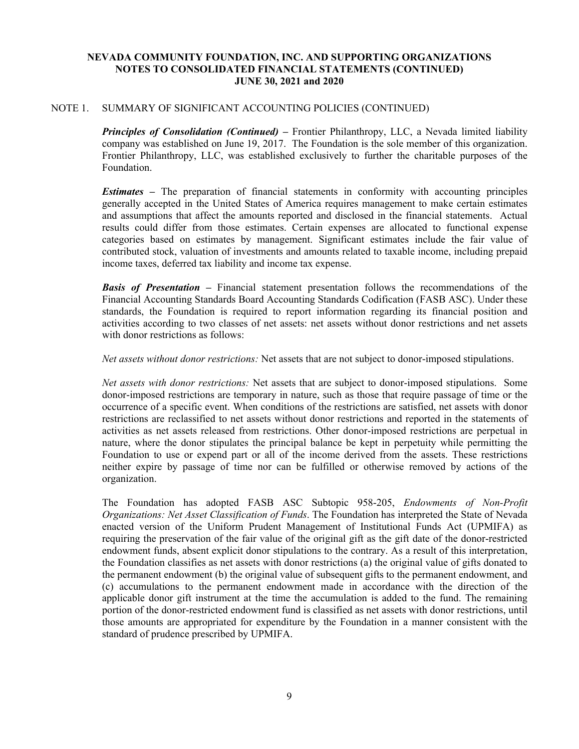#### NOTE 1. SUMMARY OF SIGNIFICANT ACCOUNTING POLICIES (CONTINUED)

*Principles of Consolidation (Continued) –* Frontier Philanthropy, LLC, a Nevada limited liability company was established on June 19, 2017. The Foundation is the sole member of this organization. Frontier Philanthropy, LLC, was established exclusively to further the charitable purposes of the Foundation.

*Estimates –* The preparation of financial statements in conformity with accounting principles generally accepted in the United States of America requires management to make certain estimates and assumptions that affect the amounts reported and disclosed in the financial statements. Actual results could differ from those estimates. Certain expenses are allocated to functional expense categories based on estimates by management. Significant estimates include the fair value of contributed stock, valuation of investments and amounts related to taxable income, including prepaid income taxes, deferred tax liability and income tax expense.

*Basis of Presentation –* Financial statement presentation follows the recommendations of the Financial Accounting Standards Board Accounting Standards Codification (FASB ASC). Under these standards, the Foundation is required to report information regarding its financial position and activities according to two classes of net assets: net assets without donor restrictions and net assets with donor restrictions as follows:

*Net assets without donor restrictions:* Net assets that are not subject to donor-imposed stipulations.

*Net assets with donor restrictions:* Net assets that are subject to donor-imposed stipulations. Some donor-imposed restrictions are temporary in nature, such as those that require passage of time or the occurrence of a specific event. When conditions of the restrictions are satisfied, net assets with donor restrictions are reclassified to net assets without donor restrictions and reported in the statements of activities as net assets released from restrictions. Other donor-imposed restrictions are perpetual in nature, where the donor stipulates the principal balance be kept in perpetuity while permitting the Foundation to use or expend part or all of the income derived from the assets. These restrictions neither expire by passage of time nor can be fulfilled or otherwise removed by actions of the organization.

The Foundation has adopted FASB ASC Subtopic 958-205, *Endowments of Non-Profit Organizations: Net Asset Classification of Funds*. The Foundation has interpreted the State of Nevada enacted version of the Uniform Prudent Management of Institutional Funds Act (UPMIFA) as requiring the preservation of the fair value of the original gift as the gift date of the donor-restricted endowment funds, absent explicit donor stipulations to the contrary. As a result of this interpretation, the Foundation classifies as net assets with donor restrictions (a) the original value of gifts donated to the permanent endowment (b) the original value of subsequent gifts to the permanent endowment, and (c) accumulations to the permanent endowment made in accordance with the direction of the applicable donor gift instrument at the time the accumulation is added to the fund. The remaining portion of the donor-restricted endowment fund is classified as net assets with donor restrictions, until those amounts are appropriated for expenditure by the Foundation in a manner consistent with the standard of prudence prescribed by UPMIFA.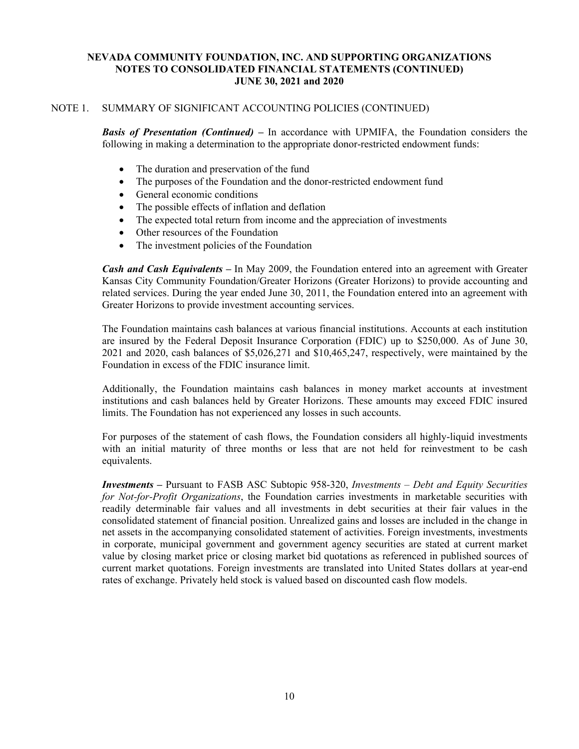#### NOTE 1. SUMMARY OF SIGNIFICANT ACCOUNTING POLICIES (CONTINUED)

*Basis of Presentation (Continued) –* In accordance with UPMIFA, the Foundation considers the following in making a determination to the appropriate donor-restricted endowment funds:

- The duration and preservation of the fund
- The purposes of the Foundation and the donor-restricted endowment fund
- General economic conditions
- The possible effects of inflation and deflation
- The expected total return from income and the appreciation of investments
- Other resources of the Foundation
- The investment policies of the Foundation

*Cash and Cash Equivalents –* In May 2009, the Foundation entered into an agreement with Greater Kansas City Community Foundation/Greater Horizons (Greater Horizons) to provide accounting and related services. During the year ended June 30, 2011, the Foundation entered into an agreement with Greater Horizons to provide investment accounting services.

The Foundation maintains cash balances at various financial institutions. Accounts at each institution are insured by the Federal Deposit Insurance Corporation (FDIC) up to \$250,000. As of June 30, 2021 and 2020, cash balances of \$5,026,271 and \$10,465,247, respectively, were maintained by the Foundation in excess of the FDIC insurance limit.

Additionally, the Foundation maintains cash balances in money market accounts at investment institutions and cash balances held by Greater Horizons. These amounts may exceed FDIC insured limits. The Foundation has not experienced any losses in such accounts.

For purposes of the statement of cash flows, the Foundation considers all highly-liquid investments with an initial maturity of three months or less that are not held for reinvestment to be cash equivalents.

*Investments –* Pursuant to FASB ASC Subtopic 958-320, *Investments – Debt and Equity Securities for Not-for-Profit Organizations*, the Foundation carries investments in marketable securities with readily determinable fair values and all investments in debt securities at their fair values in the consolidated statement of financial position. Unrealized gains and losses are included in the change in net assets in the accompanying consolidated statement of activities. Foreign investments, investments in corporate, municipal government and government agency securities are stated at current market value by closing market price or closing market bid quotations as referenced in published sources of current market quotations. Foreign investments are translated into United States dollars at year-end rates of exchange. Privately held stock is valued based on discounted cash flow models.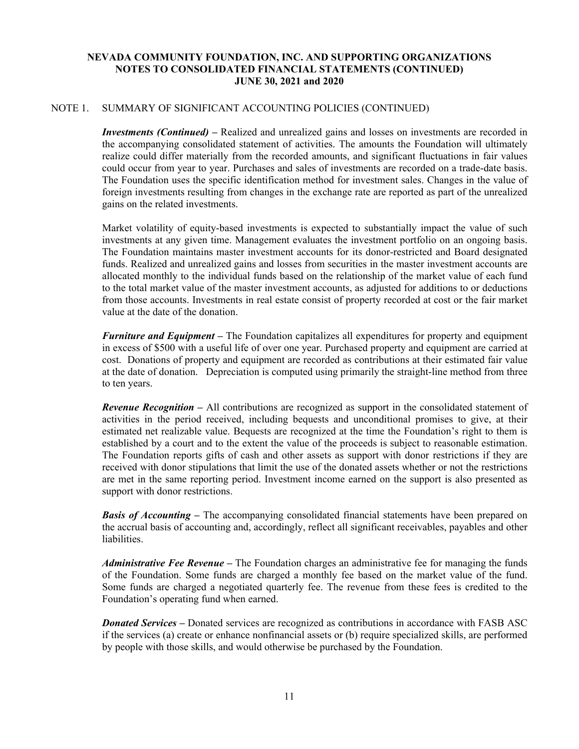#### NOTE 1. SUMMARY OF SIGNIFICANT ACCOUNTING POLICIES (CONTINUED)

*Investments (Continued)* – Realized and unrealized gains and losses on investments are recorded in the accompanying consolidated statement of activities. The amounts the Foundation will ultimately realize could differ materially from the recorded amounts, and significant fluctuations in fair values could occur from year to year. Purchases and sales of investments are recorded on a trade-date basis. The Foundation uses the specific identification method for investment sales. Changes in the value of foreign investments resulting from changes in the exchange rate are reported as part of the unrealized gains on the related investments.

Market volatility of equity-based investments is expected to substantially impact the value of such investments at any given time. Management evaluates the investment portfolio on an ongoing basis. The Foundation maintains master investment accounts for its donor-restricted and Board designated funds. Realized and unrealized gains and losses from securities in the master investment accounts are allocated monthly to the individual funds based on the relationship of the market value of each fund to the total market value of the master investment accounts, as adjusted for additions to or deductions from those accounts. Investments in real estate consist of property recorded at cost or the fair market value at the date of the donation.

*Furniture and Equipment –* The Foundation capitalizes all expenditures for property and equipment in excess of \$500 with a useful life of over one year. Purchased property and equipment are carried at cost. Donations of property and equipment are recorded as contributions at their estimated fair value at the date of donation. Depreciation is computed using primarily the straight-line method from three to ten years.

*Revenue Recognition –* All contributions are recognized as support in the consolidated statement of activities in the period received, including bequests and unconditional promises to give, at their estimated net realizable value. Bequests are recognized at the time the Foundation's right to them is established by a court and to the extent the value of the proceeds is subject to reasonable estimation. The Foundation reports gifts of cash and other assets as support with donor restrictions if they are received with donor stipulations that limit the use of the donated assets whether or not the restrictions are met in the same reporting period. Investment income earned on the support is also presented as support with donor restrictions.

**Basis of Accounting –** The accompanying consolidated financial statements have been prepared on the accrual basis of accounting and, accordingly, reflect all significant receivables, payables and other liabilities.

*Administrative Fee Revenue –* The Foundation charges an administrative fee for managing the funds of the Foundation. Some funds are charged a monthly fee based on the market value of the fund. Some funds are charged a negotiated quarterly fee. The revenue from these fees is credited to the Foundation's operating fund when earned.

*Donated Services – Donated services are recognized as contributions in accordance with FASB ASC* if the services (a) create or enhance nonfinancial assets or (b) require specialized skills, are performed by people with those skills, and would otherwise be purchased by the Foundation.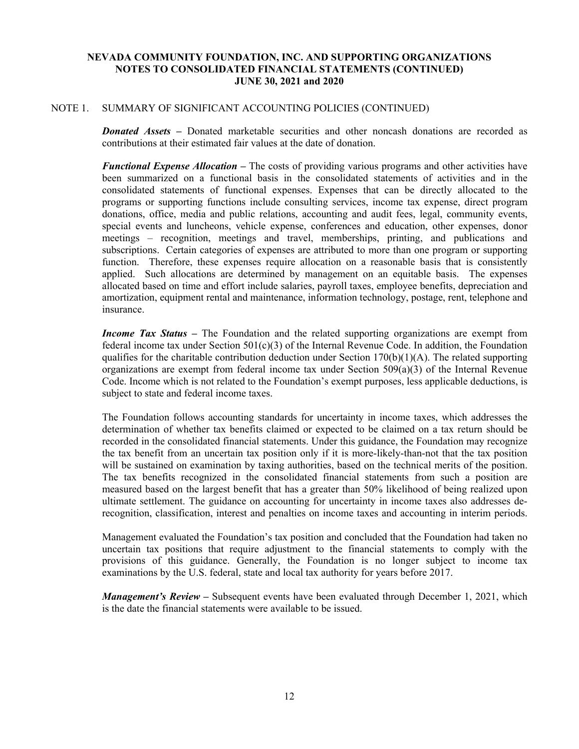#### NOTE 1. SUMMARY OF SIGNIFICANT ACCOUNTING POLICIES (CONTINUED)

*Donated Assets – Donated marketable securities and other noncash donations are recorded as* contributions at their estimated fair values at the date of donation.

*Functional Expense Allocation –* The costs of providing various programs and other activities have been summarized on a functional basis in the consolidated statements of activities and in the consolidated statements of functional expenses. Expenses that can be directly allocated to the programs or supporting functions include consulting services, income tax expense, direct program donations, office, media and public relations, accounting and audit fees, legal, community events, special events and luncheons, vehicle expense, conferences and education, other expenses, donor meetings – recognition, meetings and travel, memberships, printing, and publications and subscriptions. Certain categories of expenses are attributed to more than one program or supporting function. Therefore, these expenses require allocation on a reasonable basis that is consistently applied. Such allocations are determined by management on an equitable basis. The expenses allocated based on time and effort include salaries, payroll taxes, employee benefits, depreciation and amortization, equipment rental and maintenance, information technology, postage, rent, telephone and insurance.

*Income Tax Status –* The Foundation and the related supporting organizations are exempt from federal income tax under Section  $501(c)(3)$  of the Internal Revenue Code. In addition, the Foundation qualifies for the charitable contribution deduction under Section  $170(b)(1)(A)$ . The related supporting organizations are exempt from federal income tax under Section 509(a)(3) of the Internal Revenue Code. Income which is not related to the Foundation's exempt purposes, less applicable deductions, is subject to state and federal income taxes.

The Foundation follows accounting standards for uncertainty in income taxes, which addresses the determination of whether tax benefits claimed or expected to be claimed on a tax return should be recorded in the consolidated financial statements. Under this guidance, the Foundation may recognize the tax benefit from an uncertain tax position only if it is more-likely-than-not that the tax position will be sustained on examination by taxing authorities, based on the technical merits of the position. The tax benefits recognized in the consolidated financial statements from such a position are measured based on the largest benefit that has a greater than 50% likelihood of being realized upon ultimate settlement. The guidance on accounting for uncertainty in income taxes also addresses derecognition, classification, interest and penalties on income taxes and accounting in interim periods.

Management evaluated the Foundation's tax position and concluded that the Foundation had taken no uncertain tax positions that require adjustment to the financial statements to comply with the provisions of this guidance. Generally, the Foundation is no longer subject to income tax examinations by the U.S. federal, state and local tax authority for years before 2017.

*Management's Review –* Subsequent events have been evaluated through December 1, 2021, which is the date the financial statements were available to be issued.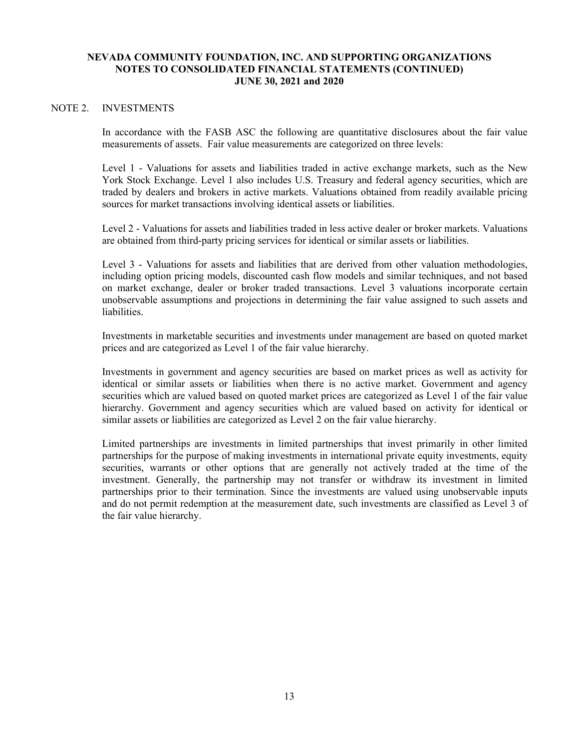#### NOTE 2. INVESTMENTS

In accordance with the FASB ASC the following are quantitative disclosures about the fair value measurements of assets. Fair value measurements are categorized on three levels:

 Level 1 - Valuations for assets and liabilities traded in active exchange markets, such as the New York Stock Exchange. Level 1 also includes U.S. Treasury and federal agency securities, which are traded by dealers and brokers in active markets. Valuations obtained from readily available pricing sources for market transactions involving identical assets or liabilities.

 Level 2 - Valuations for assets and liabilities traded in less active dealer or broker markets. Valuations are obtained from third-party pricing services for identical or similar assets or liabilities.

 Level 3 - Valuations for assets and liabilities that are derived from other valuation methodologies, including option pricing models, discounted cash flow models and similar techniques, and not based on market exchange, dealer or broker traded transactions. Level 3 valuations incorporate certain unobservable assumptions and projections in determining the fair value assigned to such assets and liabilities.

 Investments in marketable securities and investments under management are based on quoted market prices and are categorized as Level 1 of the fair value hierarchy.

 Investments in government and agency securities are based on market prices as well as activity for identical or similar assets or liabilities when there is no active market. Government and agency securities which are valued based on quoted market prices are categorized as Level 1 of the fair value hierarchy. Government and agency securities which are valued based on activity for identical or similar assets or liabilities are categorized as Level 2 on the fair value hierarchy.

Limited partnerships are investments in limited partnerships that invest primarily in other limited partnerships for the purpose of making investments in international private equity investments, equity securities, warrants or other options that are generally not actively traded at the time of the investment. Generally, the partnership may not transfer or withdraw its investment in limited partnerships prior to their termination. Since the investments are valued using unobservable inputs and do not permit redemption at the measurement date, such investments are classified as Level 3 of the fair value hierarchy.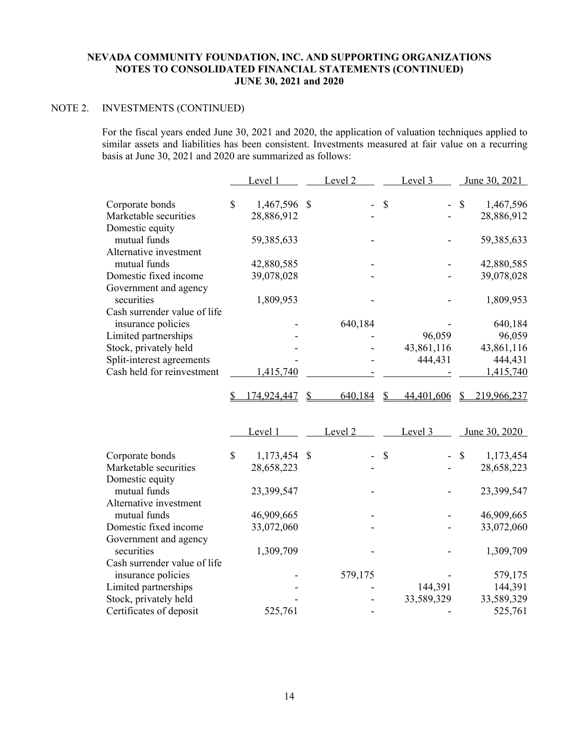#### NOTE 2. INVESTMENTS (CONTINUED)

For the fiscal years ended June 30, 2021 and 2020, the application of valuation techniques applied to similar assets and liabilities has been consistent. Investments measured at fair value on a recurring basis at June 30, 2021 and 2020 are summarized as follows:

|                              |    | Level 1     |               | Level 2 | Level 3          |             | June 30, 2021 |
|------------------------------|----|-------------|---------------|---------|------------------|-------------|---------------|
| Corporate bonds              | \$ | 1,467,596   | $\mathcal{S}$ |         | \$               | $\mathbf S$ | 1,467,596     |
| Marketable securities        |    | 28,886,912  |               |         |                  |             | 28,886,912    |
| Domestic equity              |    |             |               |         |                  |             |               |
| mutual funds                 |    | 59,385,633  |               |         |                  |             | 59,385,633    |
| Alternative investment       |    |             |               |         |                  |             |               |
| mutual funds                 |    | 42,880,585  |               |         |                  |             | 42,880,585    |
| Domestic fixed income        |    | 39,078,028  |               |         |                  |             | 39,078,028    |
| Government and agency        |    |             |               |         |                  |             |               |
| securities                   |    | 1,809,953   |               |         |                  |             | 1,809,953     |
| Cash surrender value of life |    |             |               |         |                  |             |               |
| insurance policies           |    |             |               | 640,184 |                  |             | 640,184       |
| Limited partnerships         |    |             |               |         | 96,059           |             | 96,059        |
| Stock, privately held        |    |             |               |         | 43,861,116       |             | 43,861,116    |
| Split-interest agreements    |    |             |               |         | 444,431          |             | 444,431       |
| Cash held for reinvestment   |    | 1,415,740   |               |         |                  |             | 1,415,740     |
|                              | S  | 174,924,447 | S             | 640,184 | \$<br>44,401,606 | S           | 219,966,237   |
|                              |    | Level 1     |               | Level 2 | Level 3          |             | June 30, 2020 |
| Corporate bonds              | \$ | 1,173,454   | $\mathcal{S}$ |         | \$               | \$          | 1,173,454     |
| Marketable securities        |    | 28,658,223  |               |         |                  |             | 28,658,223    |
| Domestic equity              |    |             |               |         |                  |             |               |
| mutual funds                 |    | 23,399,547  |               |         |                  |             | 23,399,547    |
| Alternative investment       |    |             |               |         |                  |             |               |
| mutual funds                 |    | 46,909,665  |               |         |                  |             | 46,909,665    |
| Domestic fixed income        |    | 33,072,060  |               |         |                  |             | 33,072,060    |
| Government and agency        |    |             |               |         |                  |             |               |
| securities                   |    | 1,309,709   |               |         |                  |             | 1,309,709     |
| Cash surrender value of life |    |             |               |         |                  |             |               |
| insurance policies           |    |             |               | 579,175 |                  |             | 579,175       |
| Limited partnerships         |    |             |               |         | 144,391          |             | 144,391       |
| Stock, privately held        |    |             |               |         | 33,589,329       |             | 33,589,329    |
| Certificates of deposit      |    | 525,761     |               |         |                  |             | 525,761       |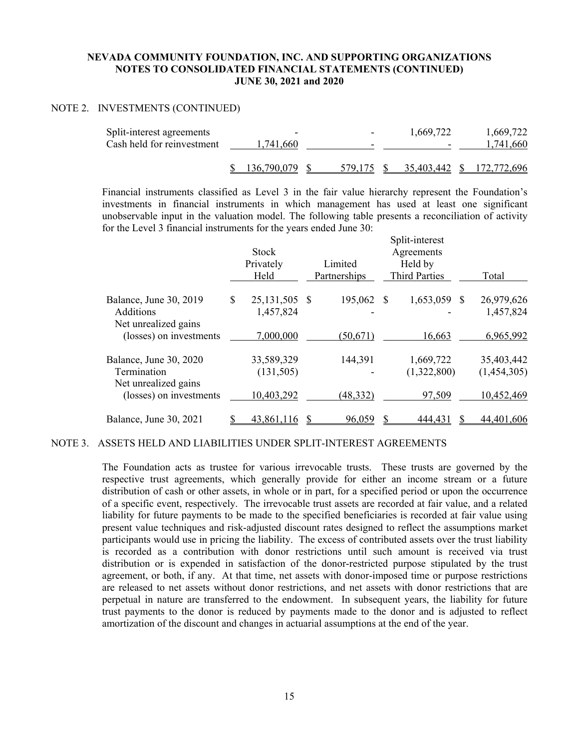#### NOTE 2. INVESTMENTS (CONTINUED)

| Split-interest agreements<br>Cash held for reinvestment | $\overline{\phantom{0}}$<br>1.741.660 | -<br>$\overline{\phantom{0}}$ | 1.669.722<br>$\overline{\phantom{0}}$ | 1.669.722<br>1.741.660 |
|---------------------------------------------------------|---------------------------------------|-------------------------------|---------------------------------------|------------------------|
|                                                         | 36 790 079                            |                               | 35,403,442                            |                        |

Financial instruments classified as Level 3 in the fair value hierarchy represent the Foundation's investments in financial instruments in which management has used at least one significant unobservable input in the valuation model. The following table presents a reconciliation of activity for the Level 3 financial instruments for the years ended June 30:

|                                                                      |     | <b>Stock</b><br>Privately<br>Held |    | Limited<br>Partnerships |    | Split-interest<br>Agreements<br>Held by<br><b>Third Parties</b> |    | Total                     |
|----------------------------------------------------------------------|-----|-----------------------------------|----|-------------------------|----|-----------------------------------------------------------------|----|---------------------------|
| Balance, June 30, 2019<br>Additions                                  | \$. | 25, 131, 505<br>1,457,824         | -S | 195,062                 | -S | 1,653,059                                                       | -S | 26,979,626<br>1,457,824   |
| Net unrealized gains<br>(losses) on investments                      |     | 7,000,000                         |    | (50,671)                |    | 16,663                                                          |    | 6,965,992                 |
| Balance, June 30, 2020<br><b>Termination</b><br>Net unrealized gains |     | 33,589,329<br>(131,505)           |    | 144,391                 |    | 1,669,722<br>(1,322,800)                                        |    | 35,403,442<br>(1,454,305) |
| (losses) on investments                                              |     | 10,403,292                        |    | (48, 332)               |    | 97,509                                                          |    | 10,452,469                |
| Balance, June 30, 2021                                               |     | 43,861,116                        |    | 96,059                  |    | 444,431                                                         |    | 44,401,606                |

#### NOTE 3. ASSETS HELD AND LIABILITIES UNDER SPLIT-INTEREST AGREEMENTS

The Foundation acts as trustee for various irrevocable trusts. These trusts are governed by the respective trust agreements, which generally provide for either an income stream or a future distribution of cash or other assets, in whole or in part, for a specified period or upon the occurrence of a specific event, respectively. The irrevocable trust assets are recorded at fair value, and a related liability for future payments to be made to the specified beneficiaries is recorded at fair value using present value techniques and risk-adjusted discount rates designed to reflect the assumptions market participants would use in pricing the liability. The excess of contributed assets over the trust liability is recorded as a contribution with donor restrictions until such amount is received via trust distribution or is expended in satisfaction of the donor-restricted purpose stipulated by the trust agreement, or both, if any. At that time, net assets with donor-imposed time or purpose restrictions are released to net assets without donor restrictions, and net assets with donor restrictions that are perpetual in nature are transferred to the endowment. In subsequent years, the liability for future trust payments to the donor is reduced by payments made to the donor and is adjusted to reflect amortization of the discount and changes in actuarial assumptions at the end of the year.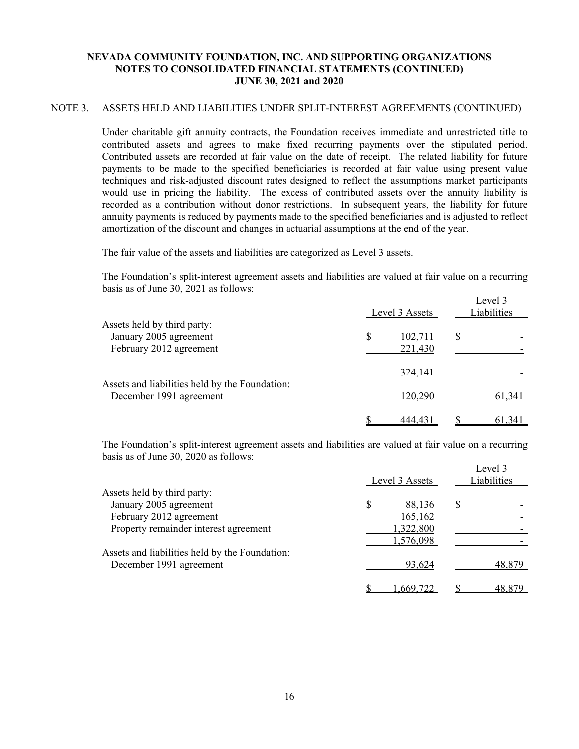#### NOTE 3. ASSETS HELD AND LIABILITIES UNDER SPLIT-INTEREST AGREEMENTS (CONTINUED)

Under charitable gift annuity contracts, the Foundation receives immediate and unrestricted title to contributed assets and agrees to make fixed recurring payments over the stipulated period. Contributed assets are recorded at fair value on the date of receipt. The related liability for future payments to be made to the specified beneficiaries is recorded at fair value using present value techniques and risk-adjusted discount rates designed to reflect the assumptions market participants would use in pricing the liability. The excess of contributed assets over the annuity liability is recorded as a contribution without donor restrictions. In subsequent years, the liability for future annuity payments is reduced by payments made to the specified beneficiaries and is adjusted to reflect amortization of the discount and changes in actuarial assumptions at the end of the year.

The fair value of the assets and liabilities are categorized as Level 3 assets.

The Foundation's split-interest agreement assets and liabilities are valued at fair value on a recurring basis as of June 30, 2021 as follows:

|                                                |                | Level 3     |
|------------------------------------------------|----------------|-------------|
|                                                | Level 3 Assets | Liabilities |
| Assets held by third party:                    |                |             |
| January 2005 agreement                         | \$<br>102,711  | \$          |
| February 2012 agreement                        | 221,430        |             |
|                                                | 324,141        |             |
| Assets and liabilities held by the Foundation: |                |             |
| December 1991 agreement                        | 120,290        | 61,341      |
|                                                |                |             |
|                                                | 444,431        | 61,341      |

The Foundation's split-interest agreement assets and liabilities are valued at fair value on a recurring basis as of June 30, 2020 as follows:

|                                                |                | Level 3     |
|------------------------------------------------|----------------|-------------|
|                                                | Level 3 Assets | Liabilities |
| Assets held by third party:                    |                |             |
| January 2005 agreement                         | \$<br>88,136   | \$          |
| February 2012 agreement                        | 165,162        |             |
| Property remainder interest agreement          | 1,322,800      |             |
|                                                | 1,576,098      |             |
| Assets and liabilities held by the Foundation: |                |             |
| December 1991 agreement                        | 93,624         | 48,879      |
|                                                |                |             |
|                                                | 1.669.722      | 48,879      |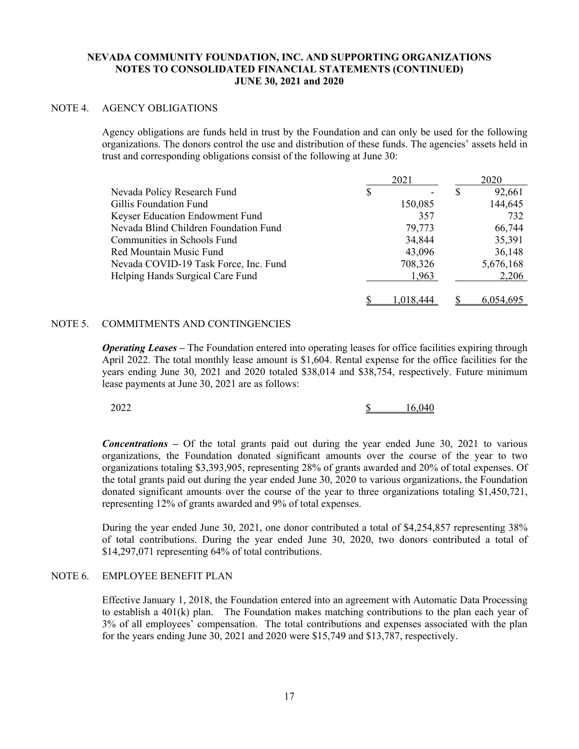#### NOTE 4. AGENCY OBLIGATIONS

Agency obligations are funds held in trust by the Foundation and can only be used for the following organizations. The donors control the use and distribution of these funds. The agencies' assets held in trust and corresponding obligations consist of the following at June 30:

|                                       | 2021      |   | 2020      |
|---------------------------------------|-----------|---|-----------|
| Nevada Policy Research Fund           | D         | S | 92,661    |
| Gillis Foundation Fund                | 150,085   |   | 144,645   |
| Keyser Education Endowment Fund       | 357       |   | 732       |
| Nevada Blind Children Foundation Fund | 79,773    |   | 66,744    |
| Communities in Schools Fund           | 34,844    |   | 35,391    |
| Red Mountain Music Fund               | 43,096    |   | 36,148    |
| Nevada COVID-19 Task Force, Inc. Fund | 708,326   |   | 5,676,168 |
| Helping Hands Surgical Care Fund      | 1,963     |   | 2,206     |
|                                       |           |   |           |
|                                       | 1.018.444 |   | 6,054,695 |

#### NOTE 5. COMMITMENTS AND CONTINGENCIES

*Operating Leases* **–** The Foundation entered into operating leases for office facilities expiring through April 2022. The total monthly lease amount is \$1,604. Rental expense for the office facilities for the years ending June 30, 2021 and 2020 totaled \$38,014 and \$38,754, respectively. Future minimum lease payments at June 30, 2021 are as follows:

2022 \$ 16,040

*Concentrations* **–** Of the total grants paid out during the year ended June 30, 2021 to various organizations, the Foundation donated significant amounts over the course of the year to two organizations totaling \$3,393,905, representing 28% of grants awarded and 20% of total expenses. Of the total grants paid out during the year ended June 30, 2020 to various organizations, the Foundation donated significant amounts over the course of the year to three organizations totaling \$1,450,721, representing 12% of grants awarded and 9% of total expenses.

During the year ended June 30, 2021, one donor contributed a total of \$4,254,857 representing 38% of total contributions. During the year ended June 30, 2020, two donors contributed a total of \$14,297,071 representing 64% of total contributions.

#### NOTE 6. EMPLOYEE BENEFIT PLAN

Effective January 1, 2018, the Foundation entered into an agreement with Automatic Data Processing to establish a  $401(k)$  plan. The Foundation makes matching contributions to the plan each year of 3% of all employees' compensation. The total contributions and expenses associated with the plan for the years ending June 30, 2021 and 2020 were \$15,749 and \$13,787, respectively.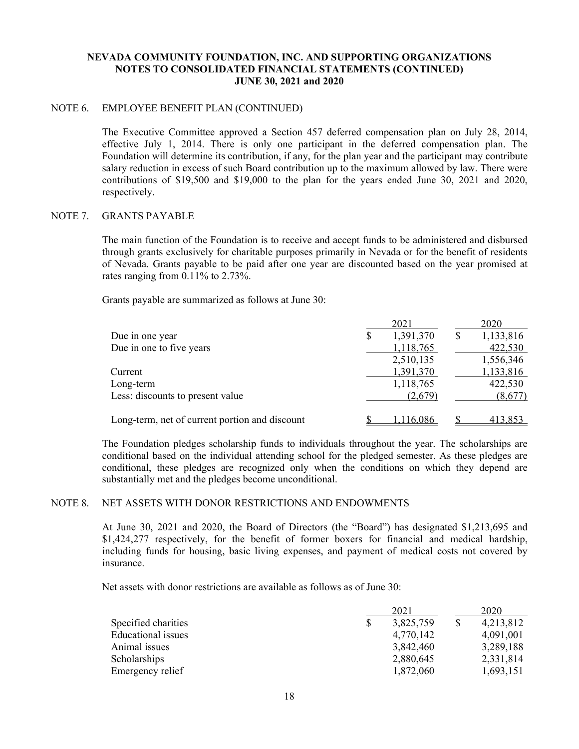#### NOTE 6. EMPLOYEE BENEFIT PLAN (CONTINUED)

The Executive Committee approved a Section 457 deferred compensation plan on July 28, 2014, effective July 1, 2014. There is only one participant in the deferred compensation plan. The Foundation will determine its contribution, if any, for the plan year and the participant may contribute salary reduction in excess of such Board contribution up to the maximum allowed by law. There were contributions of \$19,500 and \$19,000 to the plan for the years ended June 30, 2021 and 2020, respectively.

#### NOTE 7. GRANTS PAYABLE

The main function of the Foundation is to receive and accept funds to be administered and disbursed through grants exclusively for charitable purposes primarily in Nevada or for the benefit of residents of Nevada. Grants payable to be paid after one year are discounted based on the year promised at rates ranging from 0.11% to 2.73%.

Grants payable are summarized as follows at June 30:

|                                                | 2021            | 2020            |
|------------------------------------------------|-----------------|-----------------|
| Due in one year                                | \$<br>1,391,370 | \$<br>1,133,816 |
| Due in one to five years                       | 1,118,765       | 422,530         |
|                                                | 2,510,135       | 1,556,346       |
| Current                                        | 1,391,370       | 1,133,816       |
| Long-term                                      | 1,118,765       | 422,530         |
| Less: discounts to present value               | (2,679)         | (8,677)         |
|                                                |                 |                 |
| Long-term, net of current portion and discount | 16.086          | 413,853         |

The Foundation pledges scholarship funds to individuals throughout the year. The scholarships are conditional based on the individual attending school for the pledged semester. As these pledges are conditional, these pledges are recognized only when the conditions on which they depend are substantially met and the pledges become unconditional.

#### NOTE 8. NET ASSETS WITH DONOR RESTRICTIONS AND ENDOWMENTS

At June 30, 2021 and 2020, the Board of Directors (the "Board") has designated \$1,213,695 and \$1,424,277 respectively, for the benefit of former boxers for financial and medical hardship, including funds for housing, basic living expenses, and payment of medical costs not covered by insurance.

Net assets with donor restrictions are available as follows as of June 30:

|                     | 2021      | 2020      |
|---------------------|-----------|-----------|
| Specified charities | 3,825,759 | 4,213,812 |
| Educational issues  | 4,770,142 | 4,091,001 |
| Animal issues       | 3,842,460 | 3,289,188 |
| Scholarships        | 2,880,645 | 2,331,814 |
| Emergency relief    | 1,872,060 | 1,693,151 |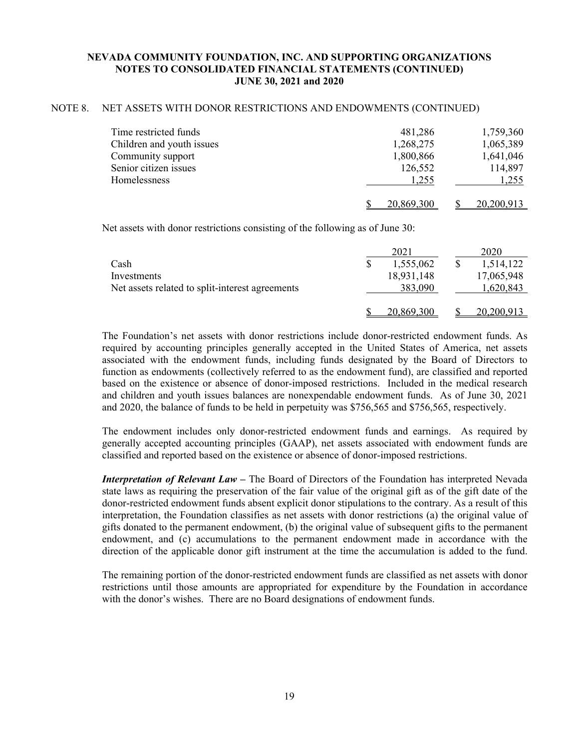#### NOTE 8. NET ASSETS WITH DONOR RESTRICTIONS AND ENDOWMENTS (CONTINUED)

| Time restricted funds     | 481,286    | 1,759,360  |
|---------------------------|------------|------------|
| Children and youth issues | 1,268,275  | 1,065,389  |
| Community support         | 1,800,866  | 1,641,046  |
| Senior citizen issues     | 126,552    | 114,897    |
| Homelessness              | 1.255      | 1,255      |
|                           | 20,869,300 | 20,200,913 |

Net assets with donor restrictions consisting of the following as of June 30:

|                                                 | 2021       | 2020            |
|-------------------------------------------------|------------|-----------------|
| Cash                                            | 1,555,062  | \$<br>1,514,122 |
| Investments                                     | 18,931,148 | 17,065,948      |
| Net assets related to split-interest agreements | 383,090    | 1,620,843       |
|                                                 |            |                 |
|                                                 | 20,869,300 | 20,200,913      |

The Foundation's net assets with donor restrictions include donor-restricted endowment funds. As required by accounting principles generally accepted in the United States of America, net assets associated with the endowment funds, including funds designated by the Board of Directors to function as endowments (collectively referred to as the endowment fund), are classified and reported based on the existence or absence of donor-imposed restrictions. Included in the medical research and children and youth issues balances are nonexpendable endowment funds. As of June 30, 2021 and 2020, the balance of funds to be held in perpetuity was \$756,565 and \$756,565, respectively.

The endowment includes only donor-restricted endowment funds and earnings. As required by generally accepted accounting principles (GAAP), net assets associated with endowment funds are classified and reported based on the existence or absence of donor-imposed restrictions.

*Interpretation of Relevant Law* **–** The Board of Directors of the Foundation has interpreted Nevada state laws as requiring the preservation of the fair value of the original gift as of the gift date of the donor-restricted endowment funds absent explicit donor stipulations to the contrary. As a result of this interpretation, the Foundation classifies as net assets with donor restrictions (a) the original value of gifts donated to the permanent endowment, (b) the original value of subsequent gifts to the permanent endowment, and (c) accumulations to the permanent endowment made in accordance with the direction of the applicable donor gift instrument at the time the accumulation is added to the fund.

The remaining portion of the donor-restricted endowment funds are classified as net assets with donor restrictions until those amounts are appropriated for expenditure by the Foundation in accordance with the donor's wishes. There are no Board designations of endowment funds.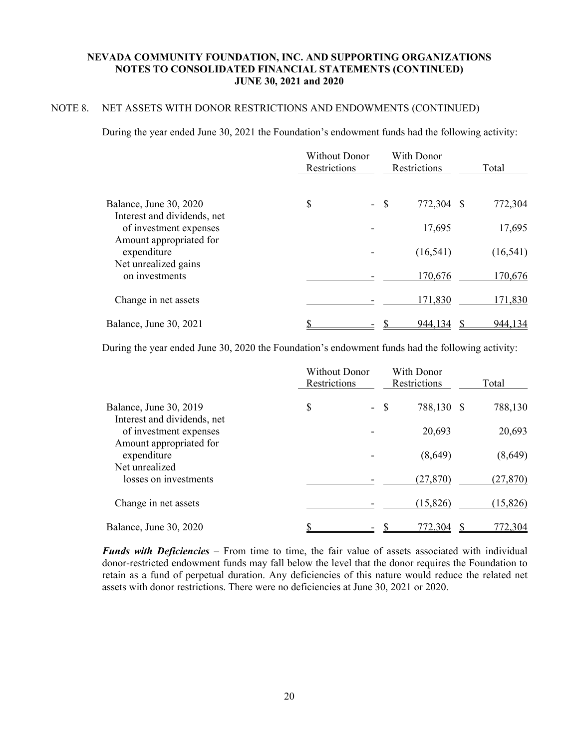#### NOTE 8. NET ASSETS WITH DONOR RESTRICTIONS AND ENDOWMENTS (CONTINUED)

During the year ended June 30, 2021 the Foundation's endowment funds had the following activity:

|                                                       | <b>Without Donor</b><br>Restrictions |        | With Donor<br>Restrictions |     | Total     |
|-------------------------------------------------------|--------------------------------------|--------|----------------------------|-----|-----------|
| Balance, June 30, 2020<br>Interest and dividends, net | \$                                   | $-$ \$ | 772,304                    | - S | 772,304   |
| of investment expenses                                |                                      |        | 17,695                     |     | 17,695    |
| Amount appropriated for<br>expenditure                |                                      |        | (16, 541)                  |     | (16, 541) |
| Net unrealized gains<br>on investments                |                                      |        | 170,676                    |     | 170,676   |
| Change in net assets                                  |                                      |        | 171,830                    |     | 171,830   |
| Balance, June 30, 2021                                |                                      |        | 944,134                    |     | 944,134   |

During the year ended June 30, 2020 the Foundation's endowment funds had the following activity:

|                                                       | <b>Without Donor</b><br>Restrictions |                | With Donor<br>Restrictions |    | Total     |
|-------------------------------------------------------|--------------------------------------|----------------|----------------------------|----|-----------|
| Balance, June 30, 2019<br>Interest and dividends, net | \$                                   | $\blacksquare$ | \$<br>788,130              | -S | 788,130   |
| of investment expenses<br>Amount appropriated for     |                                      |                | 20,693                     |    | 20,693    |
| expenditure<br>Net unrealized                         |                                      |                | (8,649)                    |    | (8,649)   |
| losses on investments                                 |                                      |                | (27, 870)                  |    | (27, 870) |
| Change in net assets                                  |                                      |                | (15,826)                   |    | (15,826)  |
| Balance, June 30, 2020                                |                                      |                | 772,304                    |    | 772,304   |

*Funds with Deficiencies* – From time to time, the fair value of assets associated with individual donor-restricted endowment funds may fall below the level that the donor requires the Foundation to retain as a fund of perpetual duration. Any deficiencies of this nature would reduce the related net assets with donor restrictions. There were no deficiencies at June 30, 2021 or 2020.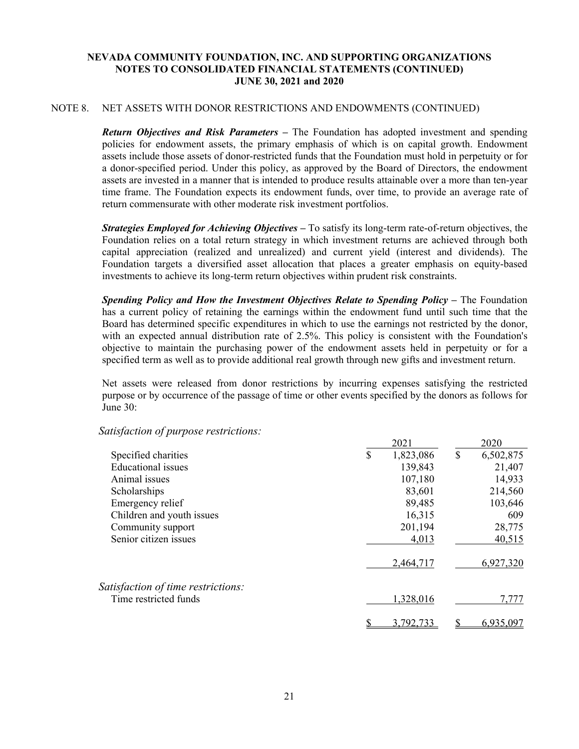#### NOTE 8. NET ASSETS WITH DONOR RESTRICTIONS AND ENDOWMENTS (CONTINUED)

*Return Objectives and Risk Parameters –* The Foundation has adopted investment and spending policies for endowment assets, the primary emphasis of which is on capital growth. Endowment assets include those assets of donor-restricted funds that the Foundation must hold in perpetuity or for a donor-specified period. Under this policy, as approved by the Board of Directors, the endowment assets are invested in a manner that is intended to produce results attainable over a more than ten-year time frame. The Foundation expects its endowment funds, over time, to provide an average rate of return commensurate with other moderate risk investment portfolios.

*Strategies Employed for Achieving Objectives –* To satisfy its long-term rate-of-return objectives, the Foundation relies on a total return strategy in which investment returns are achieved through both capital appreciation (realized and unrealized) and current yield (interest and dividends). The Foundation targets a diversified asset allocation that places a greater emphasis on equity-based investments to achieve its long-term return objectives within prudent risk constraints.

**Spending Policy and How the Investment Objectives Relate to Spending Policy – The Foundation** has a current policy of retaining the earnings within the endowment fund until such time that the Board has determined specific expenditures in which to use the earnings not restricted by the donor, with an expected annual distribution rate of 2.5%. This policy is consistent with the Foundation's objective to maintain the purchasing power of the endowment assets held in perpetuity or for a specified term as well as to provide additional real growth through new gifts and investment return.

Net assets were released from donor restrictions by incurring expenses satisfying the restricted purpose or by occurrence of the passage of time or other events specified by the donors as follows for June 30:

|                                    | 2021            | 2020            |
|------------------------------------|-----------------|-----------------|
| Specified charities                | \$<br>1,823,086 | \$<br>6,502,875 |
| <b>Educational</b> issues          | 139,843         | 21,407          |
| Animal issues                      | 107,180         | 14,933          |
| Scholarships                       | 83,601          | 214,560         |
| Emergency relief                   | 89,485          | 103,646         |
| Children and youth issues          | 16,315          | 609             |
| Community support                  | 201,194         | 28,775          |
| Senior citizen issues              | 4,013           | 40,515          |
|                                    | 2,464,717       | 6,927,320       |
| Satisfaction of time restrictions: |                 |                 |
| Time restricted funds              | 1,328,016       | 7,777           |
|                                    | 3,792,733       | 6,935,097       |

#### *Satisfaction of purpose restrictions:*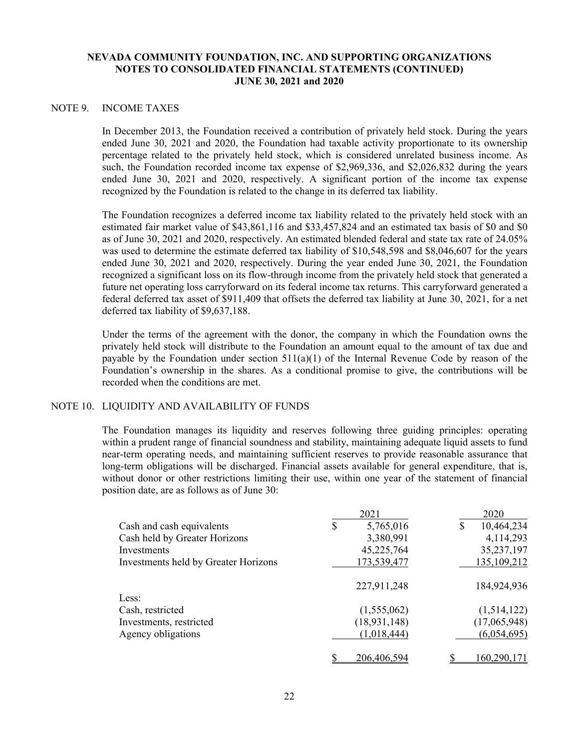#### NOTE 9. INCOME TAXES

In December 2013, the Foundation received a contribution of privately held stock. During the years ended June 30, 2021 and 2020, the Foundation had taxable activity proportionate to its ownership percentage related to the privately held stock, which is considered unrelated business income. As such, the Foundation recorded income tax expense of \$2,969,336, and \$2,026,832 during the years ended June 30, 2021 and 2020, respectively. A significant portion of the income tax expense recognized by the Foundation is related to the change in its deferred tax liability.

The Foundation recognizes a deferred income tax liability related to the privately held stock with an estimated fair market value of \$43,861,116 and \$33,457,824 and an estimated tax basis of \$0 and \$0 as of June 30, 2021 and 2020, respectively. An estimated blended federal and state tax rate of 24.05% was used to determine the estimate deferred tax liability of \$10,548,598 and \$8,046,607 for the years ended June 30, 2021 and 2020, respectively. During the year ended June 30, 2021, the Foundation recognized a significant loss on its flow-through income from the privately held stock that generated a future net operating loss carryforward on its federal income tax returns. This carryforward generated a federal deferred tax asset of \$911,409 that offsets the deferred tax liability at June 30, 2021, for a net deferred tax liability of \$9,637,188.

Under the terms of the agreement with the donor, the company in which the Foundation owns the privately held stock will distribute to the Foundation an amount equal to the amount of tax due and payable by the Foundation under section 511(a)(1) of the Internal Revenue Code by reason of the Foundation's ownership in the shares. As a conditional promise to give, the contributions will be recorded when the conditions are met.

#### NOTE 10. LIQUIDITY AND AVAILABILITY OF FUNDS

The Foundation manages its liquidity and reserves following three guiding principles: operating within a prudent range of financial soundness and stability, maintaining adequate liquid assets to fund near-term operating needs, and maintaining sufficient reserves to provide reasonable assurance that long-term obligations will be discharged. Financial assets available for general expenditure, that is, without donor or other restrictions limiting their use, within one year of the statement of financial position date, are as follows as of June 30:

|                                      | 2021            | 2020             |
|--------------------------------------|-----------------|------------------|
| Cash and cash equivalents            | \$<br>5,765,016 | 10,464,234<br>\$ |
| Cash held by Greater Horizons        | 3,380,991       | 4,114,293        |
| Investments                          | 45,225,764      | 35,237,197       |
| Investments held by Greater Horizons | 173,539,477     | 135, 109, 212    |
|                                      | 227,911,248     | 184,924,936      |
| Less:                                |                 |                  |
| Cash, restricted                     | (1,555,062)     | (1,514,122)      |
| Investments, restricted              | (18, 931, 148)  | (17,065,948)     |
| Agency obligations                   | (1,018,444)     | (6,054,695)      |
|                                      | 206,406,594     | 160,290,171      |